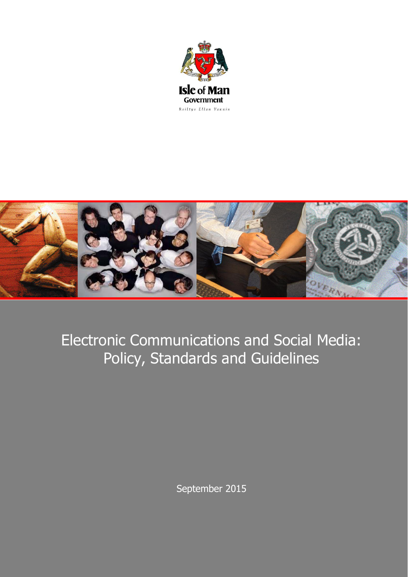



# Electronic Communications and Social Media: Policy, Standards and Guidelines

September 2015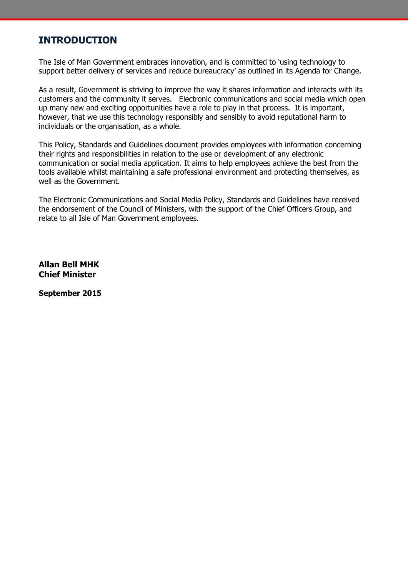### **INTRODUCTION**

The Isle of Man Government embraces innovation, and is committed to 'using technology to support better delivery of services and reduce bureaucracy' as outlined in its Agenda for Change.

As a result, Government is striving to improve the way it shares information and interacts with its customers and the community it serves. Electronic communications and social media which open up many new and exciting opportunities have a role to play in that process. It is important, however, that we use this technology responsibly and sensibly to avoid reputational harm to individuals or the organisation, as a whole.

This Policy, Standards and Guidelines document provides employees with information concerning their rights and responsibilities in relation to the use or development of any electronic communication or social media application. It aims to help employees achieve the best from the tools available whilst maintaining a safe professional environment and protecting themselves, as well as the Government.

The Electronic Communications and Social Media Policy, Standards and Guidelines have received the endorsement of the Council of Ministers, with the support of the Chief Officers Group, and relate to all Isle of Man Government employees.

**Allan Bell MHK Chief Minister**

**September 2015**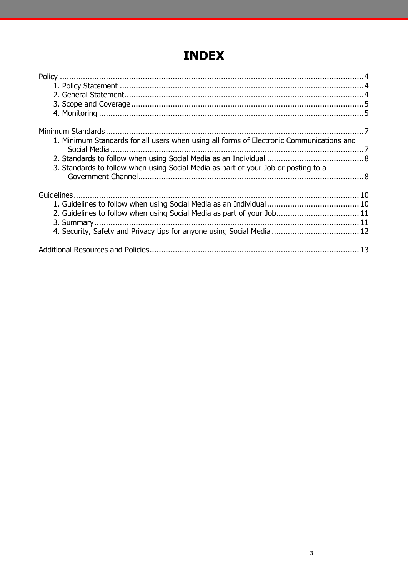## **INDEX**

| 1. Minimum Standards for all users when using all forms of Electronic Communications and |  |
|------------------------------------------------------------------------------------------|--|
|                                                                                          |  |
| 3. Standards to follow when using Social Media as part of your Job or posting to a       |  |
|                                                                                          |  |
|                                                                                          |  |
|                                                                                          |  |
| 2. Guidelines to follow when using Social Media as part of your Job 11                   |  |
|                                                                                          |  |
|                                                                                          |  |
|                                                                                          |  |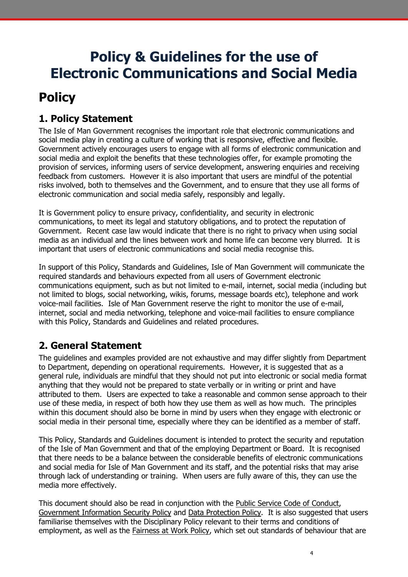## **Policy & Guidelines for the use of Electronic Communications and Social Media**

## <span id="page-3-0"></span>**Policy**

### <span id="page-3-1"></span>**1. Policy Statement**

The Isle of Man Government recognises the important role that electronic communications and social media play in creating a culture of working that is responsive, effective and flexible. Government actively encourages users to engage with all forms of electronic communication and social media and exploit the benefits that these technologies offer, for example promoting the provision of services, informing users of service development, answering enquiries and receiving feedback from customers. However it is also important that users are mindful of the potential risks involved, both to themselves and the Government, and to ensure that they use all forms of electronic communication and social media safely, responsibly and legally.

It is Government policy to ensure privacy, confidentiality, and security in electronic communications, to meet its legal and statutory obligations, and to protect the reputation of Government. Recent case law would indicate that there is no right to privacy when using social media as an individual and the lines between work and home life can become very blurred. It is important that users of electronic communications and social media recognise this.

In support of this Policy, Standards and Guidelines, Isle of Man Government will communicate the required standards and behaviours expected from all users of Government electronic communications equipment, such as but not limited to e-mail, internet, social media (including but not limited to blogs, social networking, wikis, forums, message boards etc), telephone and work voice-mail facilities. Isle of Man Government reserve the right to monitor the use of e-mail, internet, social and media networking, telephone and voice-mail facilities to ensure compliance with this Policy, Standards and Guidelines and related procedures.

### <span id="page-3-2"></span>**2. General Statement**

The guidelines and examples provided are not exhaustive and may differ slightly from Department to Department, depending on operational requirements. However, it is suggested that as a general rule, individuals are mindful that they should not put into electronic or social media format anything that they would not be prepared to state verbally or in writing or print and have attributed to them. Users are expected to take a reasonable and common sense approach to their use of these media, in respect of both how they use them as well as how much. The principles within this document should also be borne in mind by users when they engage with electronic or social media in their personal time, especially where they can be identified as a member of staff.

This Policy, Standards and Guidelines document is intended to protect the security and reputation of the Isle of Man Government and that of the employing Department or Board. It is recognised that there needs to be a balance between the considerable benefits of electronic communications and social media for Isle of Man Government and its staff, and the potential risks that may arise through lack of understanding or training. When users are fully aware of this, they can use the media more effectively.

This document should also be read in conjunction with the Public Service Code of Conduct, Government Information Security Policy and Data Protection Policy. It is also suggested that users familiarise themselves with the Disciplinary Policy relevant to their terms and conditions of employment, as well as the Fairness at Work Policy, which set out standards of behaviour that are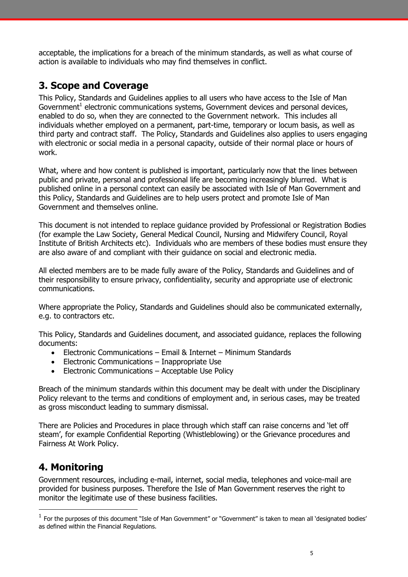acceptable, the implications for a breach of the minimum standards, as well as what course of action is available to individuals who may find themselves in conflict.

### <span id="page-4-0"></span>**3. Scope and Coverage**

This Policy, Standards and Guidelines applies to all users who have access to the Isle of Man Government<sup>1</sup> electronic communications systems, Government devices and personal devices, enabled to do so, when they are connected to the Government network. This includes all individuals whether employed on a permanent, part-time, temporary or locum basis, as well as third party and contract staff. The Policy, Standards and Guidelines also applies to users engaging with electronic or social media in a personal capacity, outside of their normal place or hours of work.

What, where and how content is published is important, particularly now that the lines between public and private, personal and professional life are becoming increasingly blurred. What is published online in a personal context can easily be associated with Isle of Man Government and this Policy, Standards and Guidelines are to help users protect and promote Isle of Man Government and themselves online.

This document is not intended to replace guidance provided by Professional or Registration Bodies (for example the Law Society, General Medical Council, Nursing and Midwifery Council, Royal Institute of British Architects etc). Individuals who are members of these bodies must ensure they are also aware of and compliant with their guidance on social and electronic media.

All elected members are to be made fully aware of the Policy, Standards and Guidelines and of their responsibility to ensure privacy, confidentiality, security and appropriate use of electronic communications.

Where appropriate the Policy, Standards and Guidelines should also be communicated externally, e.g. to contractors etc.

This Policy, Standards and Guidelines document, and associated guidance, replaces the following documents:

- Electronic Communications Email & Internet Minimum Standards
- Electronic Communications Inappropriate Use
- Electronic Communications Acceptable Use Policy

Breach of the minimum standards within this document may be dealt with under the Disciplinary Policy relevant to the terms and conditions of employment and, in serious cases, may be treated as gross misconduct leading to summary dismissal.

There are Policies and Procedures in place through which staff can raise concerns and 'let off steam', for example Confidential Reporting (Whistleblowing) or the Grievance procedures and Fairness At Work Policy.

### <span id="page-4-1"></span>**4. Monitoring**

-

Government resources, including e-mail, internet, social media, telephones and voice-mail are provided for business purposes. Therefore the Isle of Man Government reserves the right to monitor the legitimate use of these business facilities.

 $<sup>1</sup>$  For the purposes of this document "Isle of Man Government" or "Government" is taken to mean all 'designated bodies'</sup> as defined within the Financial Regulations.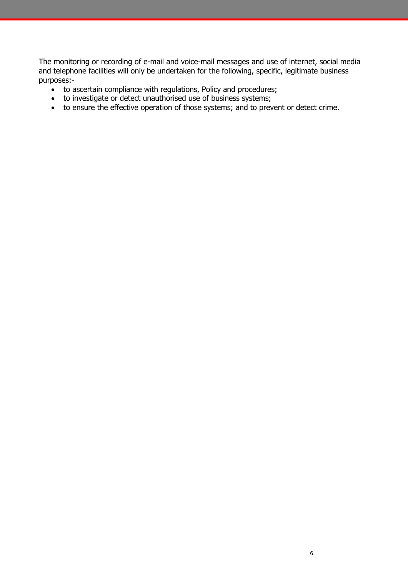The monitoring or recording of e-mail and voice-mail messages and use of internet, social media and telephone facilities will only be undertaken for the following, specific, legitimate business purposes:-

- to ascertain compliance with regulations, Policy and procedures;
- to investigate or detect unauthorised use of business systems;
- to ensure the effective operation of those systems; and to prevent or detect crime.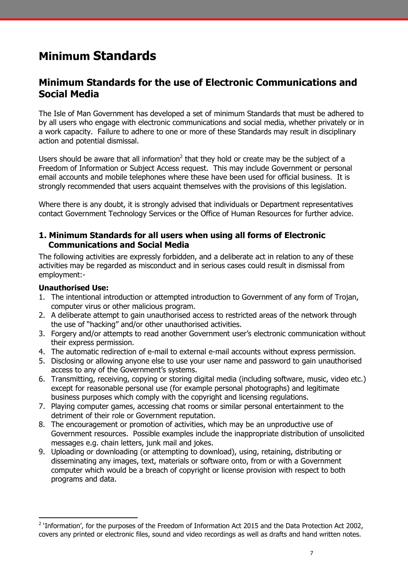## <span id="page-6-0"></span>**Minimum Standards**

### **Minimum Standards for the use of Electronic Communications and Social Media**

The Isle of Man Government has developed a set of minimum Standards that must be adhered to by all users who engage with electronic communications and social media, whether privately or in a work capacity. Failure to adhere to one or more of these Standards may result in disciplinary action and potential dismissal.

Users should be aware that all information<sup>2</sup> that they hold or create may be the subject of a Freedom of Information or Subject Access request. This may include Government or personal email accounts and mobile telephones where these have been used for official business. It is strongly recommended that users acquaint themselves with the provisions of this legislation.

Where there is any doubt, it is strongly advised that individuals or Department representatives contact Government Technology Services or the Office of Human Resources for further advice.

#### <span id="page-6-1"></span>**1. Minimum Standards for all users when using all forms of Electronic Communications and Social Media**

The following activities are expressly forbidden, and a deliberate act in relation to any of these activities may be regarded as misconduct and in serious cases could result in dismissal from employment:-

#### **Unauthorised Use:**

-

- 1. The intentional introduction or attempted introduction to Government of any form of Trojan, computer virus or other malicious program.
- 2. A deliberate attempt to gain unauthorised access to restricted areas of the network through the use of "hacking" and/or other unauthorised activities.
- 3. Forgery and/or attempts to read another Government user's electronic communication without their express permission.
- 4. The automatic redirection of e-mail to external e-mail accounts without express permission.
- 5. Disclosing or allowing anyone else to use your user name and password to gain unauthorised access to any of the Government's systems.
- 6. Transmitting, receiving, copying or storing digital media (including software, music, video etc.) except for reasonable personal use (for example personal photographs) and legitimate business purposes which comply with the copyright and licensing regulations.
- 7. Playing computer games, accessing chat rooms or similar personal entertainment to the detriment of their role or Government reputation.
- 8. The encouragement or promotion of activities, which may be an unproductive use of Government resources. Possible examples include the inappropriate distribution of unsolicited messages e.g. chain letters, junk mail and jokes.
- 9. Uploading or downloading (or attempting to download), using, retaining, distributing or disseminating any images, text, materials or software onto, from or with a Government computer which would be a breach of copyright or license provision with respect to both programs and data.

 $2$  'Information', for the purposes of the Freedom of Information Act 2015 and the Data Protection Act 2002, covers any printed or electronic files, sound and video recordings as well as drafts and hand written notes.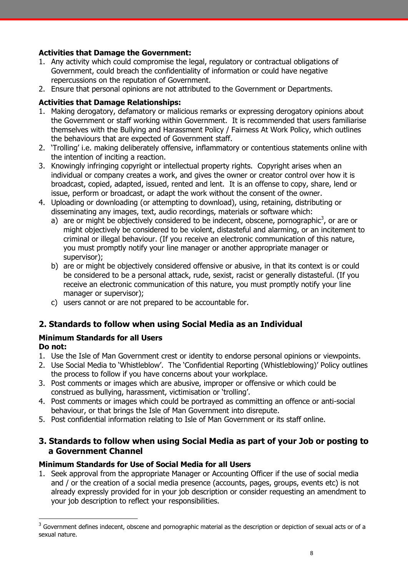#### **Activities that Damage the Government:**

- 1. Any activity which could compromise the legal, regulatory or contractual obligations of Government, could breach the confidentiality of information or could have negative repercussions on the reputation of Government.
- 2. Ensure that personal opinions are not attributed to the Government or Departments.

#### **Activities that Damage Relationships:**

- 1. Making derogatory, defamatory or malicious remarks or expressing derogatory opinions about the Government or staff working within Government. It is recommended that users familiarise themselves with the Bullying and Harassment Policy / Fairness At Work Policy, which outlines the behaviours that are expected of Government staff.
- 2. 'Trolling' i.e. making deliberately offensive, inflammatory or contentious statements online with the intention of inciting a reaction.
- 3. Knowingly infringing copyright or intellectual property rights. Copyright arises when an individual or company creates a work, and gives the owner or creator control over how it is broadcast, copied, adapted, issued, rented and lent. It is an offense to copy, share, lend or issue, perform or broadcast, or adapt the work without the consent of the owner.
- 4. Uploading or downloading (or attempting to download), using, retaining, distributing or disseminating any images, text, audio recordings, materials or software which:
	- a) are or might be objectively considered to be indecent, obscene, pornographic<sup>3</sup>, or are or might objectively be considered to be violent, distasteful and alarming, or an incitement to criminal or illegal behaviour. (If you receive an electronic communication of this nature, you must promptly notify your line manager or another appropriate manager or supervisor);
	- b) are or might be objectively considered offensive or abusive, in that its context is or could be considered to be a personal attack, rude, sexist, racist or generally distasteful. (If you receive an electronic communication of this nature, you must promptly notify your line manager or supervisor);
	- c) users cannot or are not prepared to be accountable for.

### <span id="page-7-0"></span>**2. Standards to follow when using Social Media as an Individual**

### **Minimum Standards for all Users**

#### **Do not:**

-

- 1. Use the Isle of Man Government crest or identity to endorse personal opinions or viewpoints.
- 2. Use Social Media to 'Whistleblow'. The 'Confidential Reporting (Whistleblowing)' Policy outlines the process to follow if you have concerns about your workplace.
- 3. Post comments or images which are abusive, improper or offensive or which could be construed as bullying, harassment, victimisation or 'trolling'.
- 4. Post comments or images which could be portrayed as committing an offence or anti-social behaviour, or that brings the Isle of Man Government into disrepute.
- 5. Post confidential information relating to Isle of Man Government or its staff online.

### <span id="page-7-1"></span>**3. Standards to follow when using Social Media as part of your Job or posting to a Government Channel**

#### **Minimum Standards for Use of Social Media for all Users**

1. Seek approval from the appropriate Manager or Accounting Officer if the use of social media and / or the creation of a social media presence (accounts, pages, groups, events etc) is not already expressly provided for in your job description or consider requesting an amendment to your job description to reflect your responsibilities.

 $3$  Government defines indecent, obscene and pornographic material as the description or depiction of sexual acts or of a sexual nature.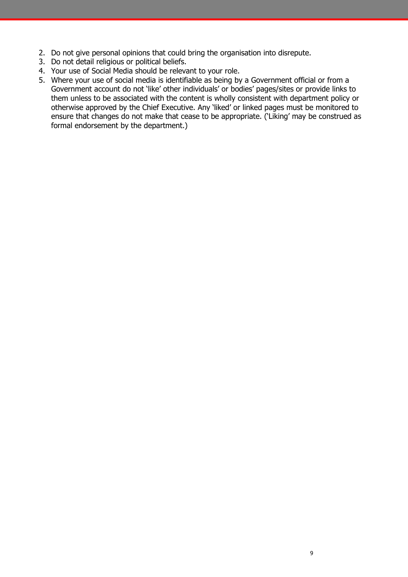- 2. Do not give personal opinions that could bring the organisation into disrepute.
- 3. Do not detail religious or political beliefs.
- 4. Your use of Social Media should be relevant to your role.
- 5. Where your use of social media is identifiable as being by a Government official or from a Government account do not 'like' other individuals' or bodies' pages/sites or provide links to them unless to be associated with the content is wholly consistent with department policy or otherwise approved by the Chief Executive. Any 'liked' or linked pages must be monitored to ensure that changes do not make that cease to be appropriate. ('Liking' may be construed as formal endorsement by the department.)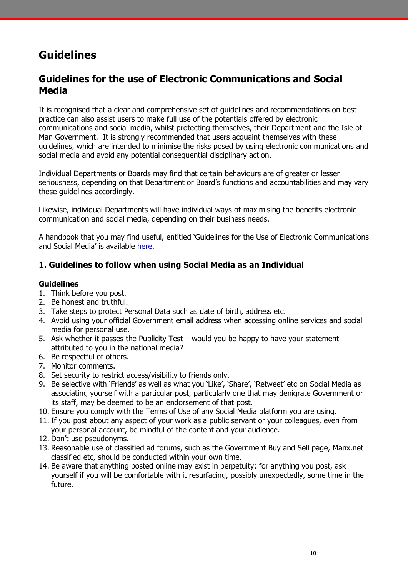### <span id="page-9-0"></span>**Guidelines**

### **Guidelines for the use of Electronic Communications and Social Media**

It is recognised that a clear and comprehensive set of guidelines and recommendations on best practice can also assist users to make full use of the potentials offered by electronic communications and social media, whilst protecting themselves, their Department and the Isle of Man Government. It is strongly recommended that users acquaint themselves with these guidelines, which are intended to minimise the risks posed by using electronic communications and social media and avoid any potential consequential disciplinary action.

Individual Departments or Boards may find that certain behaviours are of greater or lesser seriousness, depending on that Department or Board's functions and accountabilities and may vary these guidelines accordingly.

Likewise, individual Departments will have individual ways of maximising the benefits electronic communication and social media, depending on their business needs.

A handbook that you may find useful, entitled 'Guidelines for the Use of Electronic Communications and Social Media' is available [here.](https://www.gov.im/lib/docs/hr/HR_Policies/socialmediaguidance_sept2015.pdf)

### <span id="page-9-1"></span>**1. Guidelines to follow when using Social Media as an Individual**

#### **Guidelines**

- 1. Think before you post.
- 2. Be honest and truthful.
- 3. Take steps to protect Personal Data such as date of birth, address etc.
- 4. Avoid using your official Government email address when accessing online services and social media for personal use.
- 5. Ask whether it passes the Publicity Test would you be happy to have your statement attributed to you in the national media?
- 6. Be respectful of others.
- 7. Monitor comments.
- 8. Set security to restrict access/visibility to friends only.
- 9. Be selective with 'Friends' as well as what you 'Like', 'Share', 'Retweet' etc on Social Media as associating yourself with a particular post, particularly one that may denigrate Government or its staff, may be deemed to be an endorsement of that post.
- 10. Ensure you comply with the Terms of Use of any Social Media platform you are using.
- 11. If you post about any aspect of your work as a public servant or your colleagues, even from your personal account, be mindful of the content and your audience.
- 12. Don't use pseudonyms.
- 13. Reasonable use of classified ad forums, such as the Government Buy and Sell page, Manx.net classified etc, should be conducted within your own time.
- 14. Be aware that anything posted online may exist in perpetuity: for anything you post, ask yourself if you will be comfortable with it resurfacing, possibly unexpectedly, some time in the future.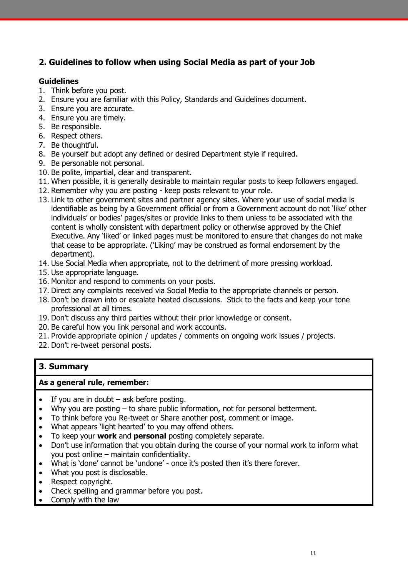### <span id="page-10-0"></span>**2. Guidelines to follow when using Social Media as part of your Job**

#### **Guidelines**

- 1. Think before you post.
- 2. Ensure you are familiar with this Policy, Standards and Guidelines document.
- 3. Ensure you are accurate.
- 4. Ensure you are timely.
- 5. Be responsible.
- 6. Respect others.
- 7. Be thoughtful.
- 8. Be yourself but adopt any defined or desired Department style if required.
- 9. Be personable not personal.
- 10. Be polite, impartial, clear and transparent.
- 11. When possible, it is generally desirable to maintain regular posts to keep followers engaged.
- 12. Remember why you are posting keep posts relevant to your role.
- 13. Link to other government sites and partner agency sites. Where your use of social media is identifiable as being by a Government official or from a Government account do not 'like' other individuals' or bodies' pages/sites or provide links to them unless to be associated with the content is wholly consistent with department policy or otherwise approved by the Chief Executive. Any 'liked' or linked pages must be monitored to ensure that changes do not make that cease to be appropriate. ('Liking' may be construed as formal endorsement by the department).
- 14. Use Social Media when appropriate, not to the detriment of more pressing workload.
- 15. Use appropriate language.
- 16. Monitor and respond to comments on your posts.
- 17. Direct any complaints received via Social Media to the appropriate channels or person.
- 18. Don't be drawn into or escalate heated discussions. Stick to the facts and keep your tone professional at all times.
- 19. Don't discuss any third parties without their prior knowledge or consent.
- 20. Be careful how you link personal and work accounts.
- 21. Provide appropriate opinion / updates / comments on ongoing work issues / projects.
- 22. Don't re-tweet personal posts.

### <span id="page-10-1"></span>**3. Summary**

#### **As a general rule, remember:**

- $\bullet$  If you are in doubt ask before posting.
- Why you are posting to share public information, not for personal betterment.
- To think before you Re-tweet or Share another post, comment or image.
- What appears 'light hearted' to you may offend others.
- To keep your **work** and **personal** posting completely separate.
- Don't use information that you obtain during the course of your normal work to inform what you post online – maintain confidentiality.
- What is 'done' cannot be 'undone' once it's posted then it's there forever.
- What you post is disclosable.
- Respect copyright.
- Check spelling and grammar before you post.
- Comply with the law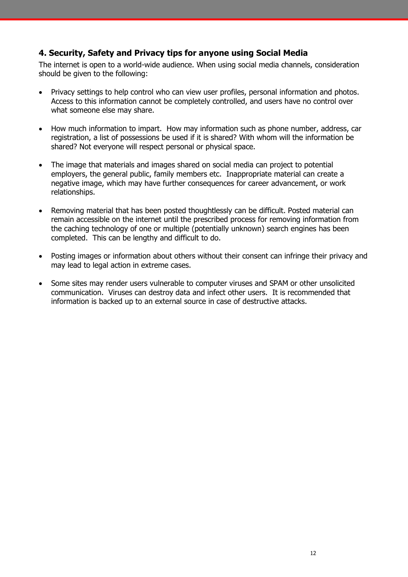### <span id="page-11-0"></span>**4. Security, Safety and Privacy tips for anyone using Social Media**

The internet is open to a world-wide audience. When using social media channels, consideration should be given to the following:

- Privacy settings to help control who can view user profiles, personal information and photos. Access to this information cannot be completely controlled, and users have no control over what someone else may share.
- How much information to impart. How may information such as phone number, address, car registration, a list of possessions be used if it is shared? With whom will the information be shared? Not everyone will respect personal or physical space.
- The image that materials and images shared on social media can project to potential employers, the general public, family members etc. Inappropriate material can create a negative image, which may have further consequences for career advancement, or work relationships.
- Removing material that has been posted thoughtlessly can be difficult. Posted material can remain accessible on the internet until the prescribed process for removing information from the caching technology of one or multiple (potentially unknown) search engines has been completed. This can be lengthy and difficult to do.
- Posting images or information about others without their consent can infringe their privacy and may lead to legal action in extreme cases.
- Some sites may render users vulnerable to computer viruses and SPAM or other unsolicited communication. Viruses can destroy data and infect other users. It is recommended that information is backed up to an external source in case of destructive attacks.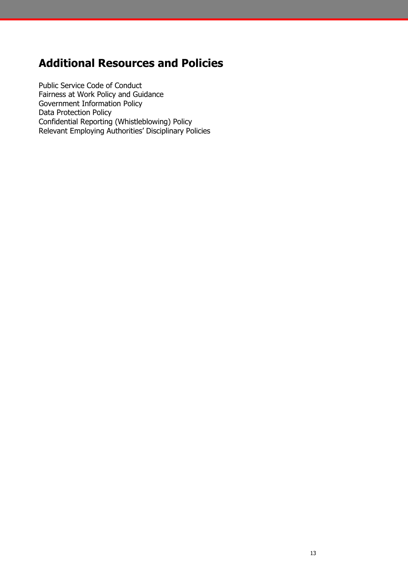## <span id="page-12-0"></span>**Additional Resources and Policies**

Public Service Code of Conduct Fairness at Work Policy and Guidance Government Information Policy Data Protection Policy Confidential Reporting (Whistleblowing) Policy Relevant Employing Authorities' Disciplinary Policies